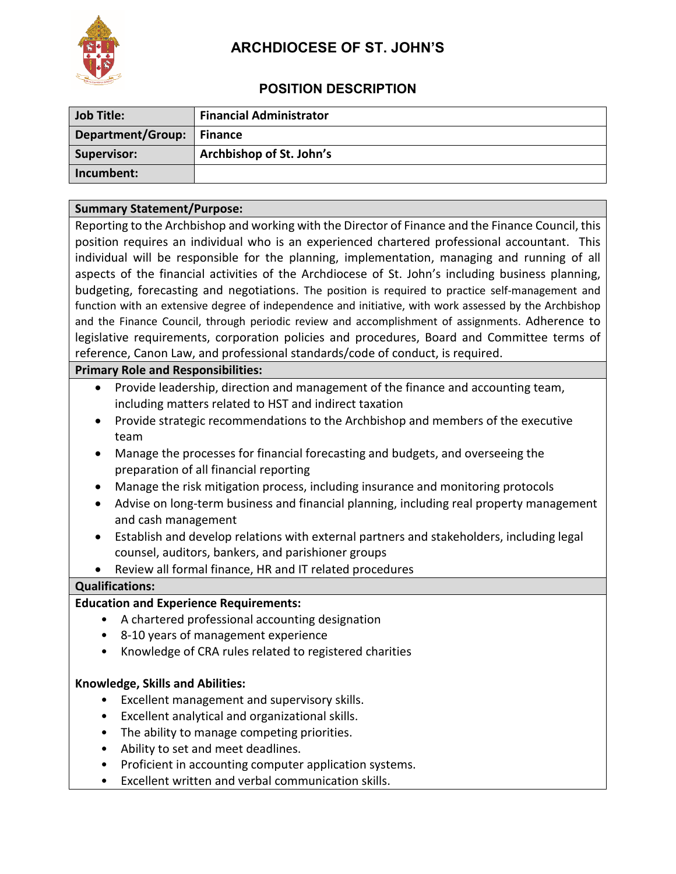

# **ARCHDIOCESE OF ST. JOHN'S**

## **POSITION DESCRIPTION**

| <b>Job Title:</b>           | <b>Financial Administrator</b> |
|-----------------------------|--------------------------------|
| Department/Group:   Finance |                                |
| Supervisor:                 | Archbishop of St. John's       |
| Incumbent:                  |                                |

#### **Summary Statement/Purpose:**

Reporting to the Archbishop and working with the Director of Finance and the Finance Council, this position requires an individual who is an experienced chartered professional accountant. This individual will be responsible for the planning, implementation, managing and running of all aspects of the financial activities of the Archdiocese of St. John's including business planning, budgeting, forecasting and negotiations. The position is required to practice self-management and function with an extensive degree of independence and initiative, with work assessed by the Archbishop and the Finance Council, through periodic review and accomplishment of assignments. Adherence to legislative requirements, corporation policies and procedures, Board and Committee terms of reference, Canon Law, and professional standards/code of conduct, is required.

#### **Primary Role and Responsibilities:**

- Provide leadership, direction and management of the finance and accounting team, including matters related to HST and indirect taxation
- Provide strategic recommendations to the Archbishop and members of the executive team
- Manage the processes for financial forecasting and budgets, and overseeing the preparation of all financial reporting
- Manage the risk mitigation process, including insurance and monitoring protocols
- Advise on long-term business and financial planning, including real property management and cash management
- Establish and develop relations with external partners and stakeholders, including legal counsel, auditors, bankers, and parishioner groups
- Review all formal finance, HR and IT related procedures

#### **Qualifications:**

#### **Education and Experience Requirements:**

- A chartered professional accounting designation
- 8-10 years of management experience
- Knowledge of CRA rules related to registered charities

#### **Knowledge, Skills and Abilities:**

- Excellent management and supervisory skills.
- Excellent analytical and organizational skills.
- The ability to manage competing priorities.
- Ability to set and meet deadlines.
- Proficient in accounting computer application systems.
- Excellent written and verbal communication skills.